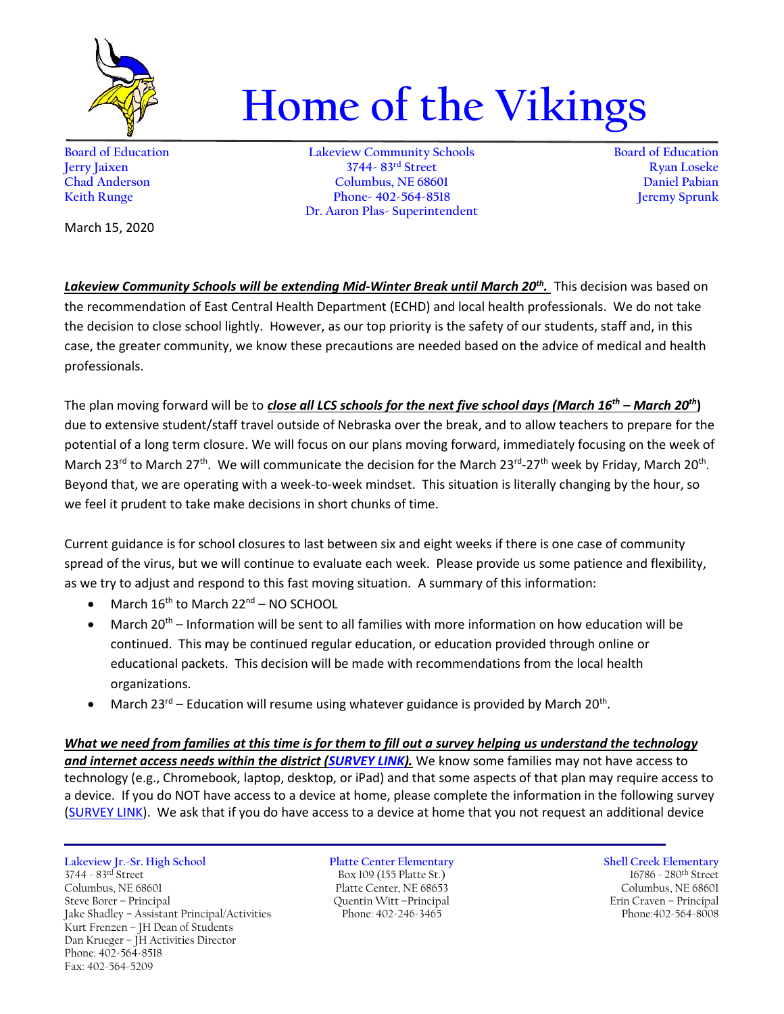

## **Home of the Vikings**

**Board of Education Lakeview Community Schools Board of Education Jerry Jaixen 3744- 83rd Street Ryan Loseke Chad Anderson Columbus, NE 68601 Daniel Pabian Keith Runge Phone- 402-564-8518 Dr. Aaron Plas- Superintendent**

March 15, 2020

*Lakeview Community Schools will be extending Mid-Winter Break until March 20th .* This decision was based on the recommendation of East Central Health Department (ECHD) and local health professionals. We do not take the decision to close school lightly. However, as our top priority is the safety of our students, staff and, in this case, the greater community, we know these precautions are needed based on the advice of medical and health professionals.

The plan moving forward will be to *close all LCS schools for the next five school days (March 16th – March 20th***)** due to extensive student/staff travel outside of Nebraska over the break, and to allow teachers to prepare for the potential of a long term closure. We will focus on our plans moving forward, immediately focusing on the week of March 23<sup>rd</sup> to March 27<sup>th</sup>. We will communicate the decision for the March 23<sup>rd</sup>-27<sup>th</sup> week by Friday, March 20<sup>th</sup>. Beyond that, we are operating with a week-to-week mindset. This situation is literally changing by the hour, so we feel it prudent to take make decisions in short chunks of time.

Current guidance is for school closures to last between six and eight weeks if there is one case of community spread of the virus, but we will continue to evaluate each week. Please provide us some patience and flexibility, as we try to adjust and respond to this fast moving situation. A summary of this information:

- $\bullet$  March 16<sup>th</sup> to March 22<sup>nd</sup> NO SCHOOL
- March 20<sup>th</sup> Information will be sent to all families with more information on how education will be continued. This may be continued regular education, or education provided through online or educational packets. This decision will be made with recommendations from the local health organizations.
- March 23<sup>rd</sup> Education will resume using whatever guidance is provided by March 20<sup>th</sup>.

*What we need from families at this time is for them to fill out a survey helping us understand the technology and internet access needs within the district [\(SURVEY LINK\)](https://docs.google.com/forms/d/e/1FAIpQLScT8jMeRmGIeTF6wzdHkhZWWxMqE6YVwYlOzStBS-Rn7j5Qwg/viewform?usp=sf_link).* We know some families may not have access to technology (e.g., Chromebook, laptop, desktop, or iPad) and that some aspects of that plan may require access to a device. If you do NOT have access to a device at home, please complete the information in the followin[g survey](https://forms.gle/8gqFXcbVLG29BBdt6) [\(SURVEY LINK\)](https://docs.google.com/forms/d/e/1FAIpQLScT8jMeRmGIeTF6wzdHkhZWWxMqE6YVwYlOzStBS-Rn7j5Qwg/viewform?usp=sf_link). We ask that if you do have access to a device at home that you not request an additional device

**Lakeview Jr.-Sr. High School Platte Center Elementary Shell Creek Elementary** 3744 - 83rd Street Box 109 (155 Platte St.) 16786 - 280th Street Columbus, NE 68601 Platte Center, NE 68653 Columbus, NE 68601 Platte Center, NE 68653 Columbus, NE 68601 Columbus, NE 68601 Jake Shadley - Assistant Principal/Activities Kurt Frenzen – JH Dean of Students Dan Krueger – JH Activities Director Phone: 402-564-8518 Fax: 402-564-5209

Steve Borer – Principal Quentin Witt –Principal Erin Craven – Principal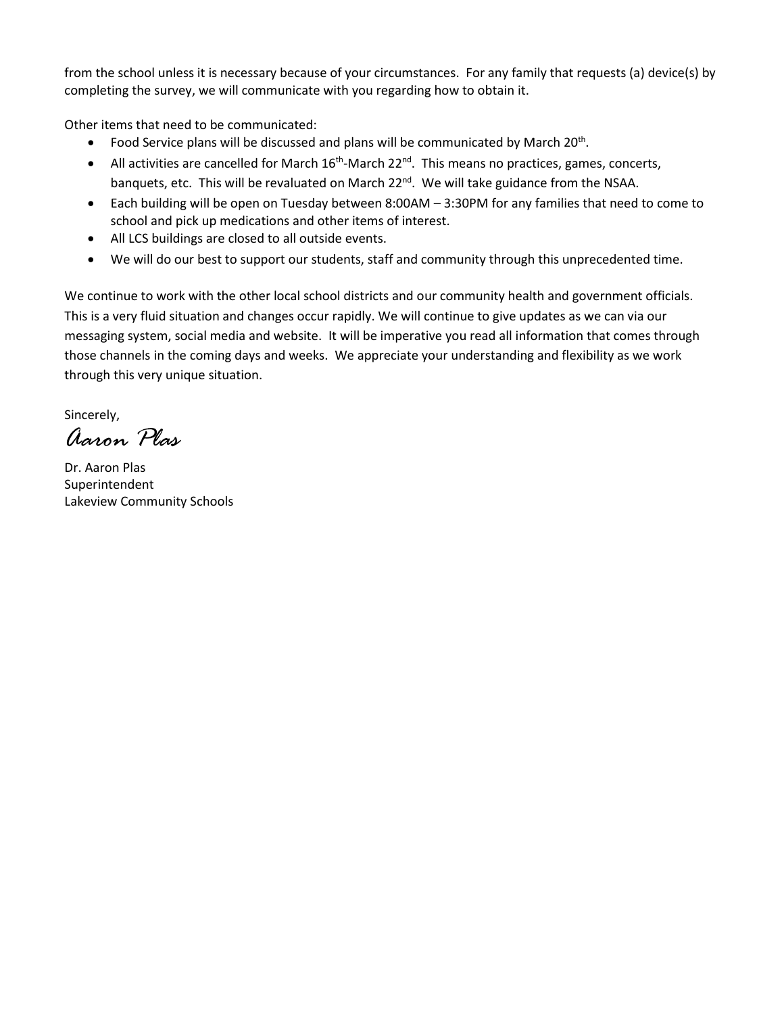from the school unless it is necessary because of your circumstances. For any family that requests (a) device(s) by completing the survey, we will communicate with you regarding how to obtain it.

Other items that need to be communicated:

- Food Service plans will be discussed and plans will be communicated by March 20<sup>th</sup>.
- All activities are cancelled for March  $16<sup>th</sup>$ -March 22<sup>nd</sup>. This means no practices, games, concerts, banquets, etc. This will be revaluated on March 22<sup>nd</sup>. We will take guidance from the NSAA.
- Each building will be open on Tuesday between 8:00AM 3:30PM for any families that need to come to school and pick up medications and other items of interest.
- All LCS buildings are closed to all outside events.
- We will do our best to support our students, staff and community through this unprecedented time.

We continue to work with the other local school districts and our community health and government officials. This is a very fluid situation and changes occur rapidly. We will continue to give updates as we can via our messaging system, social media and website. It will be imperative you read all information that comes through those channels in the coming days and weeks. We appreciate your understanding and flexibility as we work through this very unique situation.

Sincerely,

*Aaron Plas*

Dr. Aaron Plas Superintendent Lakeview Community Schools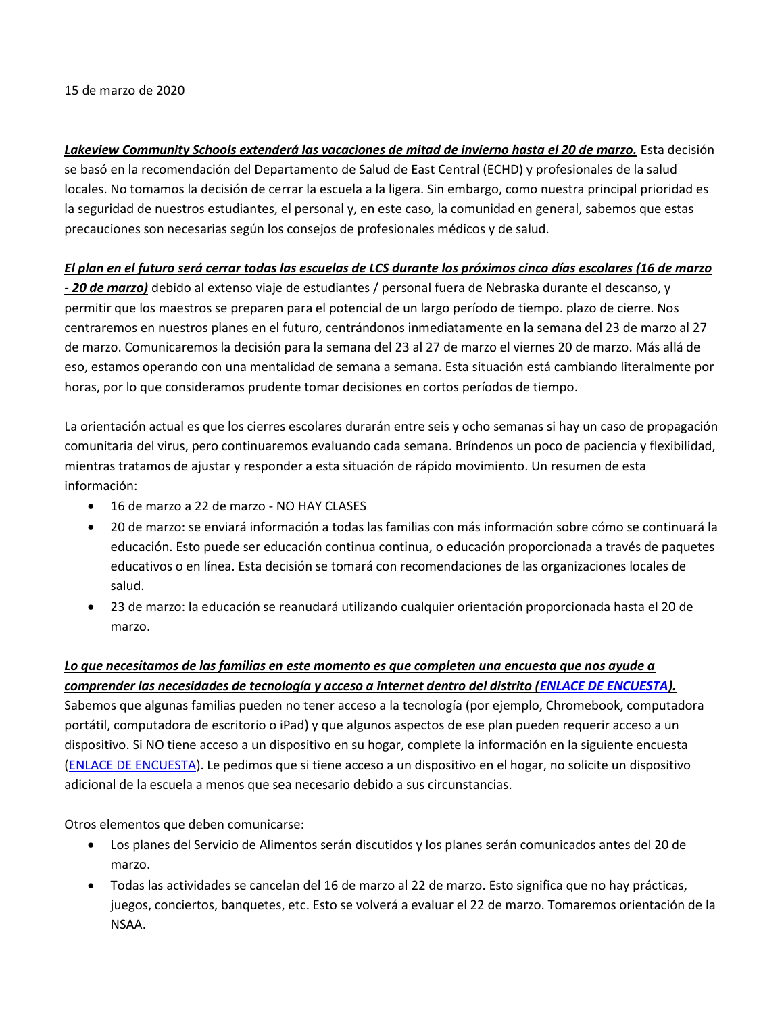15 de marzo de 2020

*Lakeview Community Schools extenderá las vacaciones de mitad de invierno hasta el 20 de marzo.* Esta decisión se basó en la recomendación del Departamento de Salud de East Central (ECHD) y profesionales de la salud locales. No tomamos la decisión de cerrar la escuela a la ligera. Sin embargo, como nuestra principal prioridad es la seguridad de nuestros estudiantes, el personal y, en este caso, la comunidad en general, sabemos que estas precauciones son necesarias según los consejos de profesionales médicos y de salud.

## *El plan en el futuro será cerrar todas las escuelas de LCS durante los próximos cinco días escolares (16 de marzo*

*- 20 de marzo)* debido al extenso viaje de estudiantes / personal fuera de Nebraska durante el descanso, y permitir que los maestros se preparen para el potencial de un largo período de tiempo. plazo de cierre. Nos centraremos en nuestros planes en el futuro, centrándonos inmediatamente en la semana del 23 de marzo al 27 de marzo. Comunicaremos la decisión para la semana del 23 al 27 de marzo el viernes 20 de marzo. Más allá de eso, estamos operando con una mentalidad de semana a semana. Esta situación está cambiando literalmente por horas, por lo que consideramos prudente tomar decisiones en cortos períodos de tiempo.

La orientación actual es que los cierres escolares durarán entre seis y ocho semanas si hay un caso de propagación comunitaria del virus, pero continuaremos evaluando cada semana. Bríndenos un poco de paciencia y flexibilidad, mientras tratamos de ajustar y responder a esta situación de rápido movimiento. Un resumen de esta información:

- 16 de marzo a 22 de marzo NO HAY CLASES
- 20 de marzo: se enviará información a todas las familias con más información sobre cómo se continuará la educación. Esto puede ser educación continua continua, o educación proporcionada a través de paquetes educativos o en línea. Esta decisión se tomará con recomendaciones de las organizaciones locales de salud.
- 23 de marzo: la educación se reanudará utilizando cualquier orientación proporcionada hasta el 20 de marzo.

## *Lo que necesitamos de las familias en este momento es que completen una encuesta que nos ayude a*

*comprender las necesidades de tecnología y acceso a internet dentro del distrito [\(ENLACE DE ENCUESTA\)](https://docs.google.com/forms/d/e/1FAIpQLScT8jMeRmGIeTF6wzdHkhZWWxMqE6YVwYlOzStBS-Rn7j5Qwg/viewform?usp=sf_link).* Sabemos que algunas familias pueden no tener acceso a la tecnología (por ejemplo, Chromebook, computadora portátil, computadora de escritorio o iPad) y que algunos aspectos de ese plan pueden requerir acceso a un dispositivo. Si NO tiene acceso a un dispositivo en su hogar, complete la información en la siguiente encuesta [\(ENLACE DE ENCUESTA\)](https://docs.google.com/forms/d/e/1FAIpQLScT8jMeRmGIeTF6wzdHkhZWWxMqE6YVwYlOzStBS-Rn7j5Qwg/viewform?usp=sf_link). Le pedimos que si tiene acceso a un dispositivo en el hogar, no solicite un dispositivo adicional de la escuela a menos que sea necesario debido a sus circunstancias.

Otros elementos que deben comunicarse:

- Los planes del Servicio de Alimentos serán discutidos y los planes serán comunicados antes del 20 de marzo.
- Todas las actividades se cancelan del 16 de marzo al 22 de marzo. Esto significa que no hay prácticas, juegos, conciertos, banquetes, etc. Esto se volverá a evaluar el 22 de marzo. Tomaremos orientación de la NSAA.